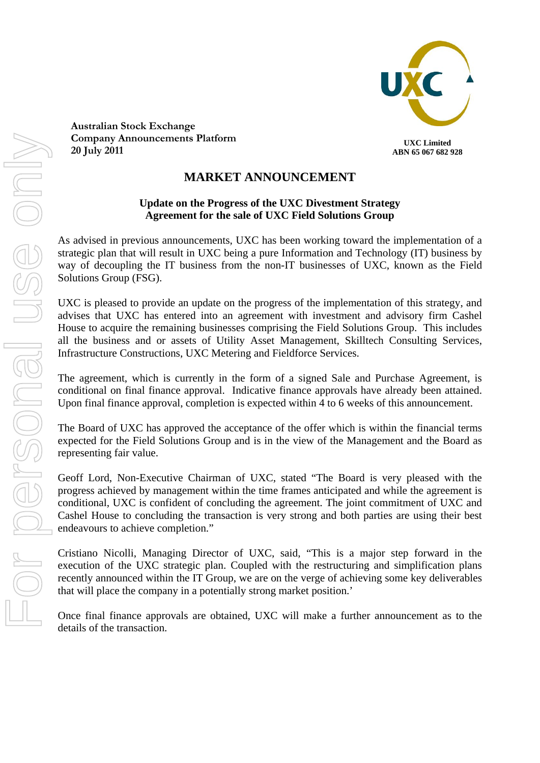

**Australian Stock Exchange Company Announcements Platform 20 July 2011**

## **UXC Limited ABN 65 067 682 928**

## **MARKET ANNOUNCEMENT**

## **Update on the Progress of the UXC Divestment Strategy Agreement for the sale of UXC Field Solutions Group**

As advised in previous announcements, UXC has been working toward the implementation of a strategic plan that will result in UXC being a pure Information and Technology (IT) business by way of decoupling the IT business from the non-IT businesses of UXC, known as the Field Solutions Group (FSG).

UXC is pleased to provide an update on the progress of the implementation of this strategy, and advises that UXC has entered into an agreement with investment and advisory firm Cashel House to acquire the remaining businesses comprising the Field Solutions Group. This includes all the business and or assets of Utility Asset Management, Skilltech Consulting Services, Infrastructure Constructions, UXC Metering and Fieldforce Services.

The agreement, which is currently in the form of a signed Sale and Purchase Agreement, is conditional on final finance approval. Indicative finance approvals have already been attained. Upon final finance approval, completion is expected within 4 to 6 weeks of this announcement.

The Board of UXC has approved the acceptance of the offer which is within the financial terms expected for the Field Solutions Group and is in the view of the Management and the Board as representing fair value.

Geoff Lord, Non-Executive Chairman of UXC, stated "The Board is very pleased with the progress achieved by management within the time frames anticipated and while the agreement is conditional, UXC is confident of concluding the agreement. The joint commitment of UXC and Cashel House to concluding the transaction is very strong and both parties are using their best endeavours to achieve completion."

Cristiano Nicolli, Managing Director of UXC, said, "This is a major step forward in the execution of the UXC strategic plan. Coupled with the restructuring and simplification plans recently announced within the IT Group, we are on the verge of achieving some key deliverables that will place the company in a potentially strong market position.'

Once final finance approvals are obtained, UXC will make a further announcement as to the details of the transaction.